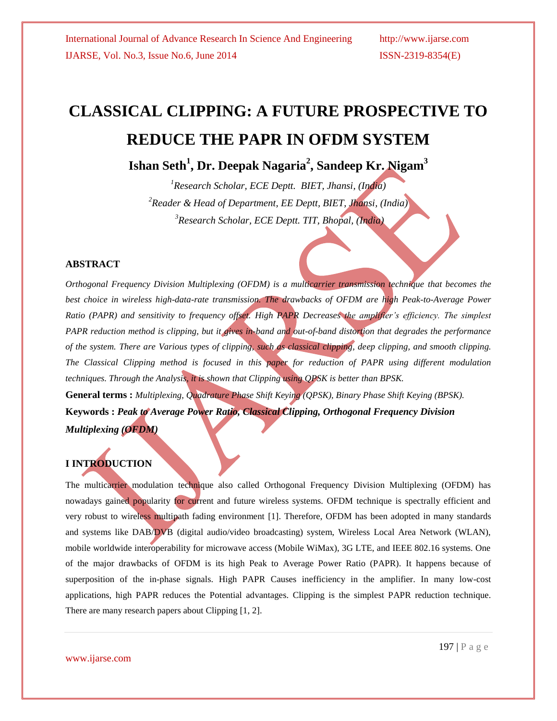# **CLASSICAL CLIPPING: A FUTURE PROSPECTIVE TO REDUCE THE PAPR IN OFDM SYSTEM**

**Ishan Seth<sup>1</sup> , Dr. Deepak Nagaria<sup>2</sup> , Sandeep Kr. Nigam<sup>3</sup>**

*<sup>1</sup>Research Scholar, ECE Deptt. BIET, Jhansi, (India) <sup>2</sup>Reader & Head of Department, EE Deptt, BIET, Jhansi, (India) <sup>3</sup>Research Scholar, ECE Deptt. TIT, Bhopal, (India)*

### **ABSTRACT**

*Orthogonal Frequency Division Multiplexing (OFDM) is a multicarrier transmission technique that becomes the best choice in wireless high-data-rate transmission. The drawbacks of OFDM are high Peak-to-Average Power Ratio (PAPR) and sensitivity to frequency offset. High PAPR Decreases the amplifier's efficiency. The simplest PAPR reduction method is clipping, but it gives in-band and out-of-band distortion that degrades the performance of the system. There are Various types of clipping, such as classical clipping, deep clipping, and smooth clipping. The Classical Clipping method is focused in this paper for reduction of PAPR using different modulation techniques. Through the Analysis, it is shown that Clipping using QPSK is better than BPSK.* **General terms :** *Multiplexing, Quadrature Phase Shift Keying (QPSK), Binary Phase Shift Keying (BPSK).* **Keywords :** *Peak to Average Power Ratio, Classical Clipping, Orthogonal Frequency Division Multiplexing (OFDM)*

# **I INTRODUCTION**

The multicarrier modulation technique also called Orthogonal Frequency Division Multiplexing (OFDM) has nowadays gained popularity for current and future wireless systems. OFDM technique is spectrally efficient and very robust to wireless multipath fading environment [1]. Therefore, OFDM has been adopted in many standards and systems like DAB/DVB (digital audio/video broadcasting) system, Wireless Local Area Network (WLAN), mobile worldwide interoperability for microwave access (Mobile WiMax), 3G LTE, and IEEE 802.16 systems. One of the major drawbacks of OFDM is its high Peak to Average Power Ratio (PAPR). It happens because of superposition of the in-phase signals. High PAPR Causes inefficiency in the amplifier. In many low-cost applications, high PAPR reduces the Potential advantages. Clipping is the simplest PAPR reduction technique. There are many research papers about Clipping [1, 2].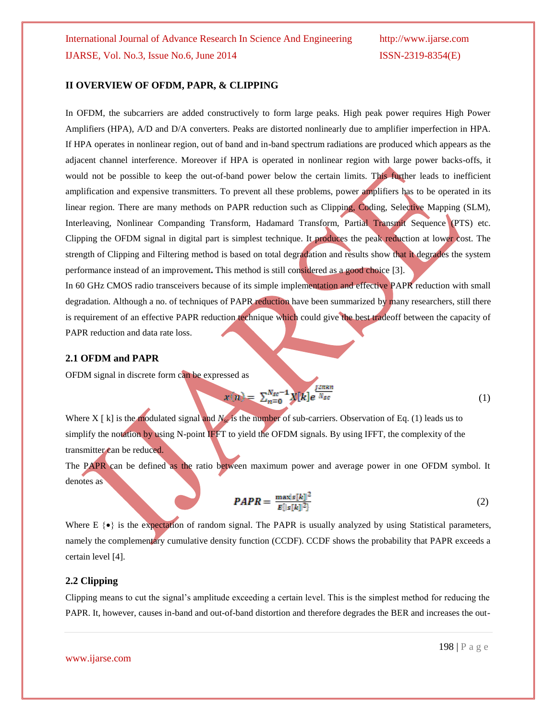### **II OVERVIEW OF OFDM, PAPR, & CLIPPING**

In OFDM, the subcarriers are added constructively to form large peaks. High peak power requires High Power Amplifiers (HPA), A/D and D/A converters. Peaks are distorted nonlinearly due to amplifier imperfection in HPA. If HPA operates in nonlinear region, out of band and in-band spectrum radiations are produced which appears as the adjacent channel interference. Moreover if HPA is operated in nonlinear region with large power backs-offs, it would not be possible to keep the out-of-band power below the certain limits. This further leads to inefficient amplification and expensive transmitters. To prevent all these problems, power amplifiers has to be operated in its linear region. There are many methods on PAPR reduction such as Clipping, Coding, Selective Mapping (SLM), Interleaving, Nonlinear Companding Transform, Hadamard Transform, Partial Transmit Sequence (PTS) etc. Clipping the OFDM signal in digital part is simplest technique. It produces the peak reduction at lower cost. The strength of Clipping and Filtering method is based on total degradation and results show that it degrades the system performance instead of an improvement**.** This method is still considered as a good choice [3].

In 60 GHz CMOS radio transceivers because of its simple implementation and effective PAPR reduction with small degradation. Although a no. of techniques of PAPR reduction have been summarized by many researchers, still there is requirement of an effective PAPR reduction technique which could give the best tradeoff between the capacity of PAPR reduction and data rate loss.

### **2.1 OFDM and PAPR**

OFDM signal in discrete form can be expressed as

$$
x(n) = \sum_{n=0}^{N_{sc}-1} X[k] e^{\frac{12\pi kn}{N_{sc}}}
$$
 (1)

Where X  $\lceil k \rceil$  is the modulated signal and *N<sub>sc</sub>* is the number of sub-carriers. Observation of Eq. (1) leads us to simplify the notation by using N-point IFFT to yield the OFDM signals. By using IFFT, the complexity of the transmitter can be reduced.

The PAPR can be defined as the ratio between maximum power and average power in one OFDM symbol. It denotes as

$$
PAPR = \frac{\max|\mathbf{s}[k]|^2}{\mathbf{E}\{|\mathbf{s}[k]|^2\}}
$$
(2)

Where E  $\{\bullet\}$  is the expectation of random signal. The PAPR is usually analyzed by using Statistical parameters, namely the complementary cumulative density function (CCDF). CCDF shows the probability that PAPR exceeds a certain level [4].

#### **2.2 Clipping**

Clipping means to cut the signal's amplitude exceeding a certain level. This is the simplest method for reducing the PAPR. It, however, causes in-band and out-of-band distortion and therefore degrades the BER and increases the out-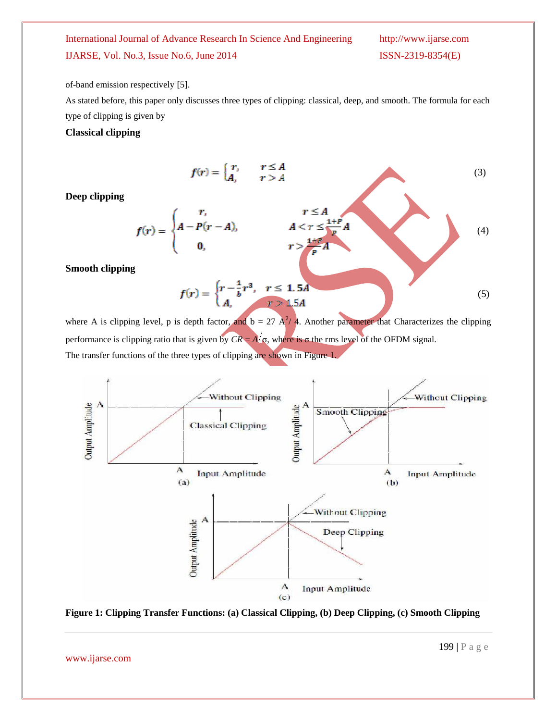of-band emission respectively [5].

As stated before, this paper only discusses three types of clipping: classical, deep, and smooth. The formula for each type of clipping is given by

### **Classical clipping**

**Deep clipping**

**Smooth clipping**

Deep clipping

\n
$$
f(r) = \begin{cases} r, & r \le A \\ A, & r > A \end{cases} \tag{3}
$$
\nDeep clipping

\n
$$
f(r) = \begin{cases} r, & r \le A \\ A - P(r - A), & A < r \le \frac{1 + P}{P}A \\ 0, & r > \frac{1 + P}{P}A \end{cases} \tag{4}
$$
\nSmooth clipping

\n
$$
f(r) = \begin{cases} r - \frac{1}{b}r^{3}, & r \le 1.5A \\ A, & r \ge 1.5A \end{cases} \tag{5}
$$

where A is clipping level, p is depth factor, and  $b = 27 \text{ A}^2/4$ . Another parameter that Characterizes the clipping performance is clipping ratio that is given by  $CR = A/\sigma$ , where is  $\sigma$  the rms level of the OFDM signal. The transfer functions of the three types of clipping are shown in Figure 1.



**Figure 1: Clipping Transfer Functions: (a) Classical Clipping, (b) Deep Clipping, (c) Smooth Clipping**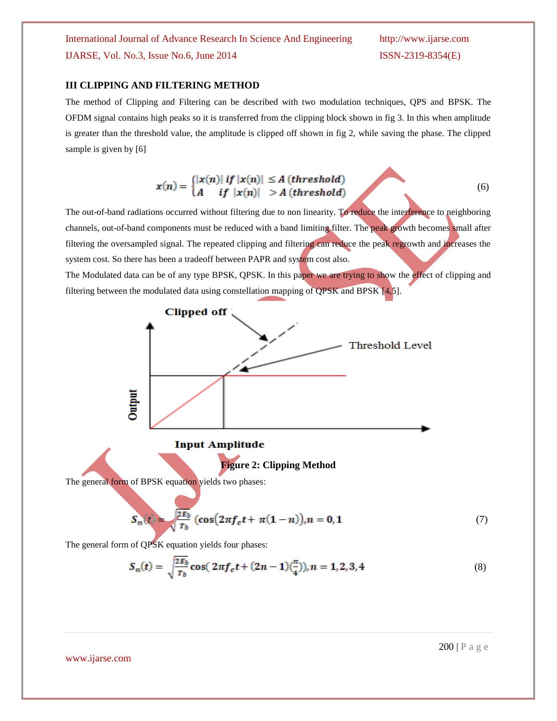### **III CLIPPING AND FILTERING METHOD**

The method of Clipping and Filtering can be described with two modulation techniques, QPS and BPSK. The OFDM signal contains high peaks so it is transferred from the clipping block shown in fig 3. In this when amplitude is greater than the threshold value, the amplitude is clipped off shown in fig 2, while saving the phase. The clipped sample is given by [6]

$$
x(n) = \begin{cases} |x(n)| & \text{if } |x(n)| \le A \text{ (threshold)}\\ A & \text{if } |x(n)| > A \text{ (threshold)} \end{cases} \tag{6}
$$

The out-of-band radiations occurred without filtering due to non linearity. To reduce the interference to neighboring channels, out-of-band components must be reduced with a band limiting filter. The peak growth becomes small after filtering the oversampled signal. The repeated clipping and filtering can reduce the peak regrowth and increases the system cost. So there has been a tradeoff between PAPR and system cost also.

The Modulated data can be of any type BPSK, QPSK. In this paper we are trying to show the effect of clipping and filtering between the modulated data using constellation mapping of QPSK and BPSK [4,5].



The general form of QPSK equation yields four phases:

$$
S_n(t) = \sqrt{\frac{2E_b}{T_b}} \cos(2\pi f_c t + (2n-1)\binom{\pi}{4}), n = 1, 2, 3, 4
$$
 (8)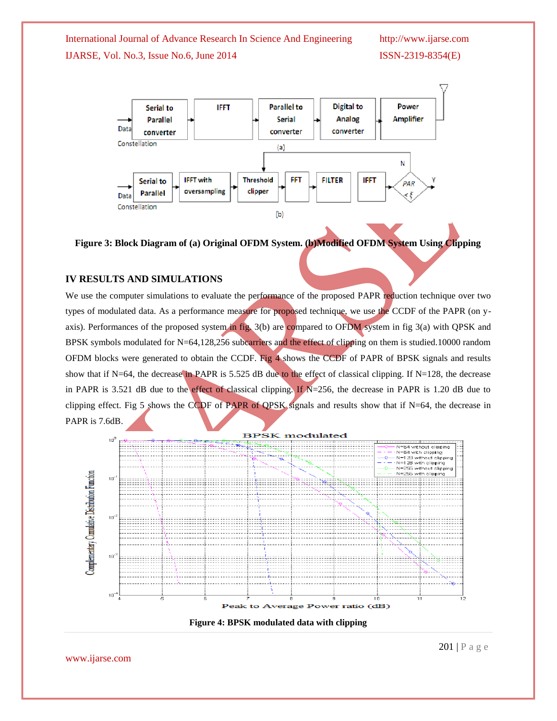

**Figure 3: Block Diagram of (a) Original OFDM System. (b)Modified OFDM System Using Clipping**

### **IV RESULTS AND SIMULATIONS**

We use the computer simulations to evaluate the performance of the proposed PAPR reduction technique over two types of modulated data. As a performance measure for proposed technique, we use the CCDF of the PAPR (on yaxis). Performances of the proposed system in fig. 3(b) are compared to OFDM system in fig 3(a) with QPSK and BPSK symbols modulated for N=64,128,256 subcarriers and the effect of clipping on them is studied.10000 random OFDM blocks were generated to obtain the CCDF. Fig 4 shows the CCDF of PAPR of BPSK signals and results show that if N=64, the decrease in PAPR is 5.525 dB due to the effect of classical clipping. If N=128, the decrease in PAPR is 3.521 dB due to the effect of classical clipping. If N=256, the decrease in PAPR is 1.20 dB due to clipping effect. Fig 5 shows the CCDF of PAPR of QPSK signals and results show that if N=64, the decrease in PAPR is 7.6dB.



**Figure 4: BPSK modulated data with clipping**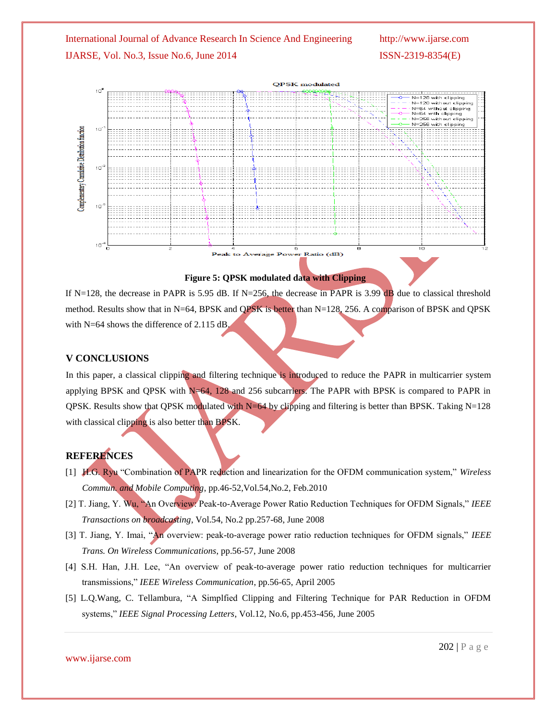

**Figure 5: QPSK modulated data with Clipping**

If  $N=128$ , the decrease in PAPR is 5.95 dB. If  $N=256$ , the decrease in PAPR is 3.99 dB due to classical threshold method. Results show that in N=64, BPSK and QPSK is better than N=128, 256. A comparison of BPSK and QPSK with N=64 shows the difference of 2.115 dB.

### **V CONCLUSIONS**

In this paper, a classical clipping and filtering technique is introduced to reduce the PAPR in multicarrier system applying BPSK and QPSK with  $N=64$ , 128 and 256 subcarriers. The PAPR with BPSK is compared to PAPR in QPSK. Results show that QPSK modulated with  $N=64$  by clipping and filtering is better than BPSK. Taking  $N=128$ with classical clipping is also better than BPSK.

### **REFERENCES**

- [1] H.G. Ryu "Combination of PAPR reduction and linearization for the OFDM communication system," *Wireless Commun. and Mobile Computing*, pp.46-52,Vol.54,No.2, Feb.2010
- [2] T. Jiang, Y. Wu, "An Overview: Peak-to-Average Power Ratio Reduction Techniques for OFDM Signals," *IEEE Transactions on broadcasting*, Vol.54, No.2 pp.257-68, June 2008
- [3] T. Jiang, Y. Imai, "An overview: peak-to-average power ratio reduction techniques for OFDM signals," *IEEE Trans. On Wireless Communications*, pp.56-57, June 2008
- [4] S.H. Han, J.H. Lee, "An overview of peak-to-average power ratio reduction techniques for multicarrier transmissions," *IEEE Wireless Communication*, pp.56-65, April 2005
- [5] L.Q.Wang, C. Tellambura, "A Simplfied Clipping and Filtering Technique for PAR Reduction in OFDM systems," *IEEE Signal Processing Letters*, Vol.12, No.6, pp.453-456, June 2005